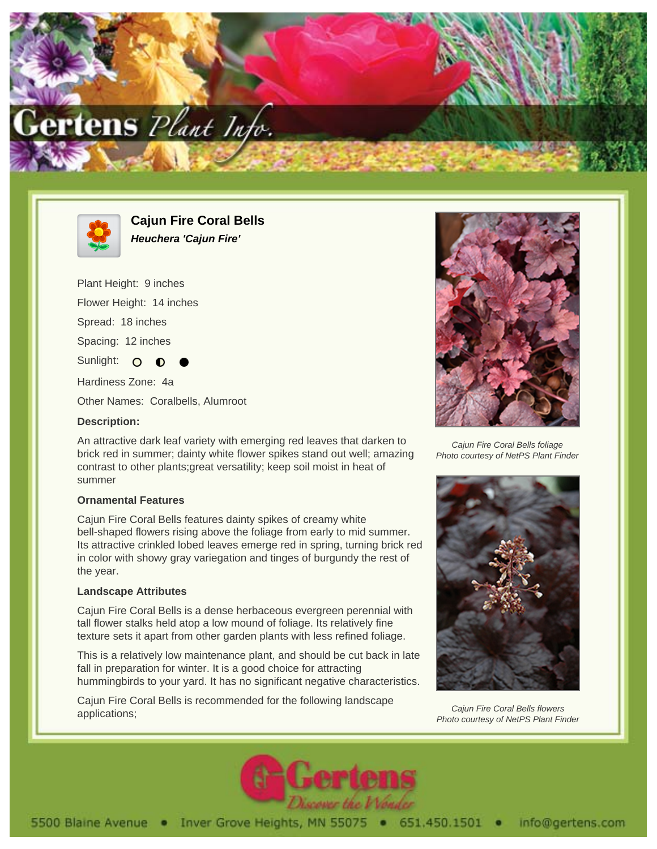



**Cajun Fire Coral Bells Heuchera 'Cajun Fire'**

Plant Height: 9 inches Flower Height: 14 inches Spread: 18 inches Spacing: 12 inches Sunlight: O Hardiness Zone: 4a Other Names: Coralbells, Alumroot

## **Description:**

An attractive dark leaf variety with emerging red leaves that darken to brick red in summer; dainty white flower spikes stand out well; amazing contrast to other plants;great versatility; keep soil moist in heat of summer

## **Ornamental Features**

Cajun Fire Coral Bells features dainty spikes of creamy white bell-shaped flowers rising above the foliage from early to mid summer. Its attractive crinkled lobed leaves emerge red in spring, turning brick red in color with showy gray variegation and tinges of burgundy the rest of the year.

## **Landscape Attributes**

Cajun Fire Coral Bells is a dense herbaceous evergreen perennial with tall flower stalks held atop a low mound of foliage. Its relatively fine texture sets it apart from other garden plants with less refined foliage.

This is a relatively low maintenance plant, and should be cut back in late fall in preparation for winter. It is a good choice for attracting hummingbirds to your yard. It has no significant negative characteristics.

Cajun Fire Coral Bells is recommended for the following landscape applications;



Caiun Fire Coral Bells foliage Photo courtesy of NetPS Plant Finder



Cajun Fire Coral Bells flowers Photo courtesy of NetPS Plant Finder